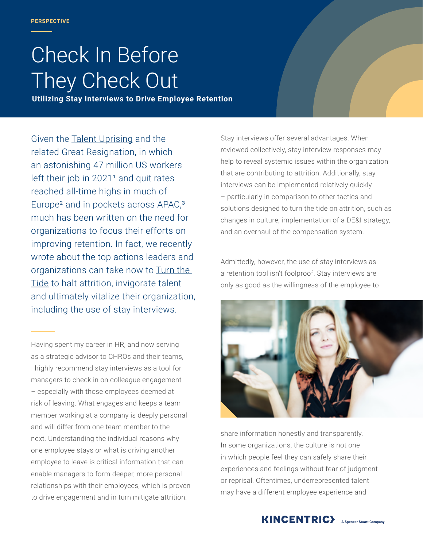# Check In Before They Check Out

**Utilizing Stay Interviews to Drive Employee Retention**

Given the [Talent Uprising](https://www.kincentric.com/talent-uprising) and the related Great Resignation, in which an astonishing 47 million US workers left their job in  $2021<sup>1</sup>$  and quit rates reached all-time highs in much of Europe<sup>2</sup> and in pockets across APAC,<sup>3</sup> much has been written on the need for organizations to focus their efforts on improving retention. In fact, we recently wrote about the top actions leaders and organizations can take now to Turn the [Tide](https://www.kincentric.com/insights/turn-the-tide-halting-attrition-in-the-wake-of-the-talent-uprising) to halt attrition, invigorate talent and ultimately vitalize their organization, including the use of stay interviews.

Having spent my career in HR, and now serving as a strategic advisor to CHROs and their teams, I highly recommend stay interviews as a tool for managers to check in on colleague engagement – especially with those employees deemed at risk of leaving. What engages and keeps a team member working at a company is deeply personal and will differ from one team member to the next. Understanding the individual reasons why one employee stays or what is driving another employee to leave is critical information that can enable managers to form deeper, more personal relationships with their employees, which is proven to drive engagement and in turn mitigate attrition.

Stay interviews offer several advantages. When reviewed collectively, stay interview responses may help to reveal systemic issues within the organization that are contributing to attrition. Additionally, stay interviews can be implemented relatively quickly – particularly in comparison to other tactics and solutions designed to turn the tide on attrition, such as changes in culture, implementation of a DE&I strategy, and an overhaul of the compensation system.

Admittedly, however, the use of stay interviews as a retention tool isn't foolproof. Stay interviews are only as good as the willingness of the employee to



share information honestly and transparently. In some organizations, the culture is not one in which people feel they can safely share their experiences and feelings without fear of judgment or reprisal. Oftentimes, underrepresented talent may have a different employee experience and

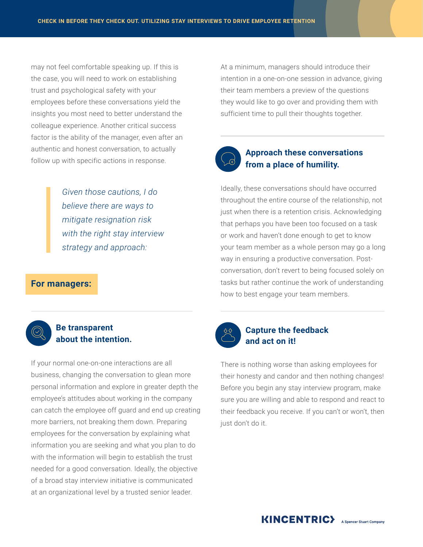may not feel comfortable speaking up. If this is the case, you will need to work on establishing trust and psychological safety with your employees before these conversations yield the insights you most need to better understand the colleague experience. Another critical success factor is the ability of the manager, even after an authentic and honest conversation, to actually follow up with specific actions in response.

> *Given those cautions, I do believe there are ways to mitigate resignation risk with the right stay interview strategy and approach:*

#### **For managers:**



#### **Be transparent about the intention.**

If your normal one-on-one interactions are all business, changing the conversation to glean more personal information and explore in greater depth the employee's attitudes about working in the company can catch the employee off guard and end up creating more barriers, not breaking them down. Preparing employees for the conversation by explaining what information you are seeking and what you plan to do with the information will begin to establish the trust needed for a good conversation. Ideally, the objective of a broad stay interview initiative is communicated at an organizational level by a trusted senior leader.

At a minimum, managers should introduce their intention in a one-on-one session in advance, giving their team members a preview of the questions they would like to go over and providing them with sufficient time to pull their thoughts together.



#### **Approach these conversations from a place of humility.**

Ideally, these conversations should have occurred throughout the entire course of the relationship, not just when there is a retention crisis. Acknowledging that perhaps you have been too focused on a task or work and haven't done enough to get to know your team member as a whole person may go a long way in ensuring a productive conversation. Postconversation, don't revert to being focused solely on tasks but rather continue the work of understanding how to best engage your team members.



#### **Capture the feedback and act on it!**

There is nothing worse than asking employees for their honesty and candor and then nothing changes! Before you begin any stay interview program, make sure you are willing and able to respond and react to their feedback you receive. If you can't or won't, then just don't do it.